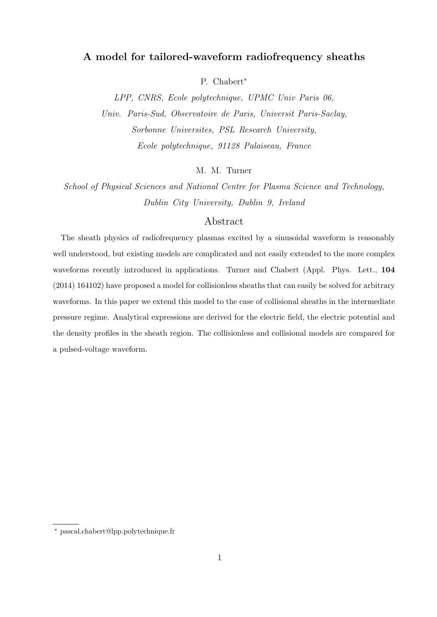# **A model for tailored-waveform radiofrequency sheaths**

P. Chabert*<sup>∗</sup>*

*LPP, CNRS, Ecole polytechnique, UPMC Univ Paris 06, Univ. Paris-Sud, Observatoire de Paris, Universit Paris-Saclay, Sorbonne Universites, PSL Research University, Ecole polytechnique, 91128 Palaiseau, France*

M. M. Turner

*School of Physical Sciences and National Centre for Plasma Science and Technology, Dublin City University, Dublin 9, Ireland*

# Abstract

The sheath physics of radiofrequency plasmas excited by a sinusoidal waveform is reasonably well understood, but existing models are complicated and not easily extended to the more complex waveforms recently introduced in applications. Turner and Chabert (Appl. Phys. Lett., **104** (2014) 164102) have proposed a model for collisionless sheaths that can easily be solved for arbitrary waveforms. In this paper we extend this model to the case of collisional sheaths in the intermediate pressure regime. Analytical expressions are derived for the electric field, the electric potential and the density profiles in the sheath region. The collisionless and collisional models are compared for a pulsed-voltage waveform.

*<sup>∗</sup>* pascal.chabert@lpp.polytechnique.fr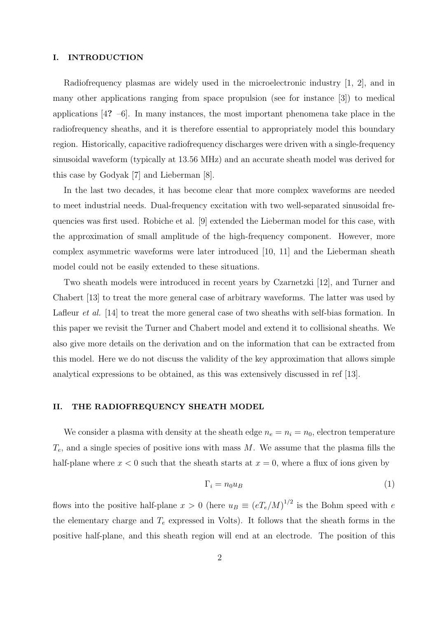#### **I. INTRODUCTION**

Radiofrequency plasmas are widely used in the microelectronic industry [1, 2], and in many other applications ranging from space propulsion (see for instance [3]) to medical applications [4**?** –6]. In many instances, the most important phenomena take place in the radiofrequency sheaths, and it is therefore essential to appropriately model this boundary region. Historically, capacitive radiofrequency discharges were driven with a single-frequency sinusoidal waveform (typically at 13.56 MHz) and an accurate sheath model was derived for this case by Godyak [7] and Lieberman [8].

In the last two decades, it has become clear that more complex waveforms are needed to meet industrial needs. Dual-frequency excitation with two well-separated sinusoidal frequencies was first used. Robiche et al. [9] extended the Lieberman model for this case, with the approximation of small amplitude of the high-frequency component. However, more complex asymmetric waveforms were later introduced [10, 11] and the Lieberman sheath model could not be easily extended to these situations.

Two sheath models were introduced in recent years by Czarnetzki [12], and Turner and Chabert [13] to treat the more general case of arbitrary waveforms. The latter was used by Lafleur *et al.* [14] to treat the more general case of two sheaths with self-bias formation. In this paper we revisit the Turner and Chabert model and extend it to collisional sheaths. We also give more details on the derivation and on the information that can be extracted from this model. Here we do not discuss the validity of the key approximation that allows simple analytical expressions to be obtained, as this was extensively discussed in ref [13].

# **II. THE RADIOFREQUENCY SHEATH MODEL**

We consider a plasma with density at the sheath edge  $n_e = n_i = n_0$ , electron temperature *Te*, and a single species of positive ions with mass *M*. We assume that the plasma fills the half-plane where  $x < 0$  such that the sheath starts at  $x = 0$ , where a flux of ions given by

$$
\Gamma_i = n_0 u_B \tag{1}
$$

flows into the positive half-plane  $x > 0$  (here  $u_B \equiv (eT_e/M)^{1/2}$  is the Bohm speed with *e* the elementary charge and *T<sup>e</sup>* expressed in Volts). It follows that the sheath forms in the positive half-plane, and this sheath region will end at an electrode. The position of this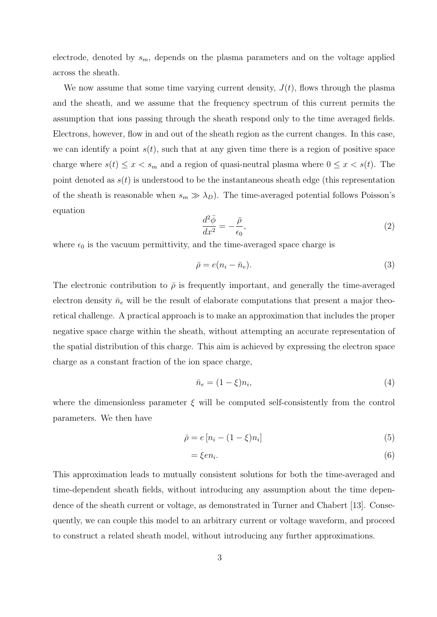electrode, denoted by  $s_m$ , depends on the plasma parameters and on the voltage applied across the sheath.

We now assume that some time varying current density,  $J(t)$ , flows through the plasma and the sheath, and we assume that the frequency spectrum of this current permits the assumption that ions passing through the sheath respond only to the time averaged fields. Electrons, however, flow in and out of the sheath region as the current changes. In this case, we can identify a point  $s(t)$ , such that at any given time there is a region of positive space charge where  $s(t) \leq x < s_m$  and a region of quasi-neutral plasma where  $0 \leq x < s(t)$ . The point denoted as  $s(t)$  is understood to be the instantaneous sheath edge (this representation of the sheath is reasonable when  $s_m \gg \lambda_D$ ). The time-averaged potential follows Poisson's equation

$$
\frac{d^2\bar{\phi}}{dx^2} = -\frac{\bar{\rho}}{\epsilon_0},\tag{2}
$$

where  $\epsilon_0$  is the vacuum permittivity, and the time-averaged space charge is

$$
\bar{\rho} = e(n_i - \bar{n}_e). \tag{3}
$$

The electronic contribution to  $\bar{\rho}$  is frequently important, and generally the time-averaged electron density  $\bar{n}_e$  will be the result of elaborate computations that present a major theoretical challenge. A practical approach is to make an approximation that includes the proper negative space charge within the sheath, without attempting an accurate representation of the spatial distribution of this charge. This aim is achieved by expressing the electron space charge as a constant fraction of the ion space charge,

$$
\bar{n}_e = (1 - \xi)n_i,\tag{4}
$$

where the dimensionless parameter *ξ* will be computed self-consistently from the control parameters. We then have

$$
\bar{\rho} = e\left[n_i - (1 - \xi)n_i\right] \tag{5}
$$

$$
=\xi en_i.\tag{6}
$$

This approximation leads to mutually consistent solutions for both the time-averaged and time-dependent sheath fields, without introducing any assumption about the time dependence of the sheath current or voltage, as demonstrated in Turner and Chabert [13]. Consequently, we can couple this model to an arbitrary current or voltage waveform, and proceed to construct a related sheath model, without introducing any further approximations.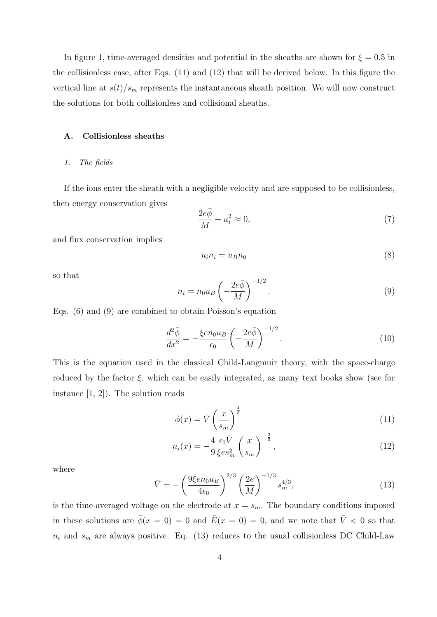In figure 1, time-averaged densities and potential in the sheaths are shown for  $\xi = 0.5$  in the collisionless case, after Eqs. (11) and (12) that will be derived below. In this figure the vertical line at  $s(t)/s_m$  represents the instantaneous sheath position. We will now construct the solutions for both collisionless and collisional sheaths.

# **A. Collisionless sheaths**

#### *1. The fields*

If the ions enter the sheath with a negligible velocity and are supposed to be collisionless, then energy conservation gives

$$
\frac{2e\bar{\phi}}{M} + u_i^2 \approx 0,\t\t(7)
$$

and flux conservation implies

$$
u_i n_i = u_B n_0 \tag{8}
$$

so that

$$
n_i = n_0 u_B \left( -\frac{2e\bar{\phi}}{M} \right)^{-1/2}.
$$
\n(9)

Eqs. (6) and (9) are combined to obtain Poisson's equation

$$
\frac{d^2\bar{\phi}}{dx^2} = -\frac{\xi en_0 u_B}{\epsilon_0} \left(-\frac{2e\bar{\phi}}{M}\right)^{-1/2}.\tag{10}
$$

This is the equation used in the classical Child-Langmuir theory, with the space-charge reduced by the factor  $\xi$ , which can be easily integrated, as many text books show (see for instance [1, 2]). The solution reads

$$
\bar{\phi}(x) = \bar{V} \left(\frac{x}{s_m}\right)^{\frac{4}{3}} \tag{11}
$$

$$
n_i(x) = -\frac{4}{9} \frac{\epsilon_0 \bar{V}}{\xi e s_m^2} \left(\frac{x}{s_m}\right)^{-\frac{2}{3}},\qquad(12)
$$

where

$$
\bar{V} = -\left(\frac{9\xi en_0 u_B}{4\epsilon_0}\right)^{2/3} \left(\frac{2e}{M}\right)^{-1/3} s_m^{4/3},\tag{13}
$$

is the time-averaged voltage on the electrode at  $x = s_m$ . The boundary conditions imposed in these solutions are  $\bar{\phi}(x = 0) = 0$  and  $\bar{E}(x = 0) = 0$ , and we note that  $\bar{V} < 0$  so that  $n_i$  and  $s_m$  are always positive. Eq. (13) reduces to the usual collisionless DC Child-Law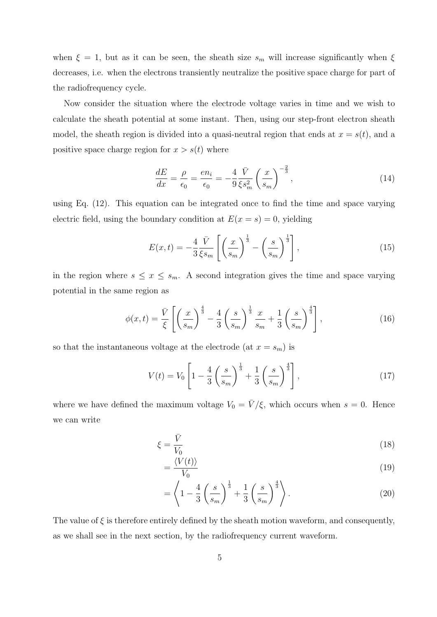when  $\xi = 1$ , but as it can be seen, the sheath size  $s_m$  will increase significantly when  $\xi$ decreases, i.e. when the electrons transiently neutralize the positive space charge for part of the radiofrequency cycle.

Now consider the situation where the electrode voltage varies in time and we wish to calculate the sheath potential at some instant. Then, using our step-front electron sheath model, the sheath region is divided into a quasi-neutral region that ends at  $x = s(t)$ , and a positive space charge region for  $x > s(t)$  where

$$
\frac{dE}{dx} = \frac{\rho}{\epsilon_0} = \frac{en_i}{\epsilon_0} = -\frac{4}{9} \frac{\bar{V}}{\xi s_m^2} \left(\frac{x}{s_m}\right)^{-\frac{2}{3}},\tag{14}
$$

using Eq. (12). This equation can be integrated once to find the time and space varying electric field, using the boundary condition at  $E(x = s) = 0$ , yielding

$$
E(x,t) = -\frac{4}{3} \frac{\bar{V}}{\xi s_m} \left[ \left( \frac{x}{s_m} \right)^{\frac{1}{3}} - \left( \frac{s}{s_m} \right)^{\frac{1}{3}} \right],\tag{15}
$$

in the region where  $s \leq x \leq s_m$ . A second integration gives the time and space varying potential in the same region as

$$
\phi(x,t) = \frac{\bar{V}}{\xi} \left[ \left( \frac{x}{s_m} \right)^{\frac{4}{3}} - \frac{4}{3} \left( \frac{s}{s_m} \right)^{\frac{1}{3}} \frac{x}{s_m} + \frac{1}{3} \left( \frac{s}{s_m} \right)^{\frac{4}{3}} \right],\tag{16}
$$

so that the instantaneous voltage at the electrode (at  $x = s_m$ ) is

$$
V(t) = V_0 \left[ 1 - \frac{4}{3} \left( \frac{s}{s_m} \right)^{\frac{1}{3}} + \frac{1}{3} \left( \frac{s}{s_m} \right)^{\frac{4}{3}} \right],
$$
 (17)

where we have defined the maximum voltage  $V_0 = \bar{V}/\xi$ , which occurs when  $s = 0$ . Hence we can write

$$
\xi = \frac{\bar{V}}{V_0} \tag{18}
$$

$$
=\frac{\langle V(t)\rangle}{V_0} \tag{19}
$$

$$
= \left\langle 1 - \frac{4}{3} \left( \frac{s}{s_m} \right)^{\frac{1}{3}} + \frac{1}{3} \left( \frac{s}{s_m} \right)^{\frac{4}{3}} \right\rangle.
$$
 (20)

The value of  $\xi$  is therefore entirely defined by the sheath motion waveform, and consequently, as we shall see in the next section, by the radiofrequency current waveform.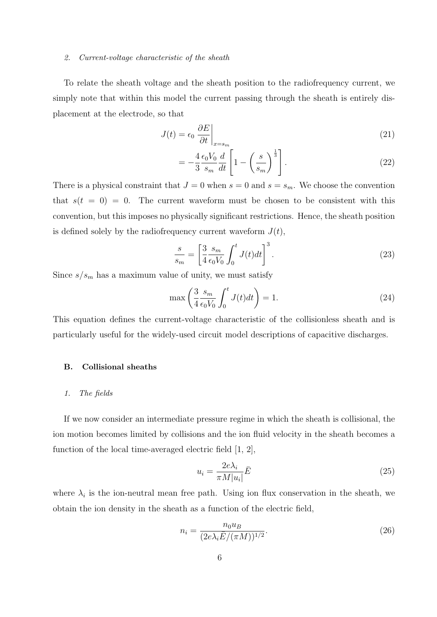#### *2. Current-voltage characteristic of the sheath*

To relate the sheath voltage and the sheath position to the radiofrequency current, we simply note that within this model the current passing through the sheath is entirely displacement at the electrode, so that

$$
J(t) = \epsilon_0 \left. \frac{\partial E}{\partial t} \right|_{x = s_m} \tag{21}
$$

$$
= -\frac{4}{3} \frac{\epsilon_0 V_0}{s_m} \frac{d}{dt} \left[ 1 - \left( \frac{s}{s_m} \right)^{\frac{1}{3}} \right]. \tag{22}
$$

There is a physical constraint that  $J = 0$  when  $s = 0$  and  $s = s_m$ . We choose the convention that  $s(t = 0) = 0$ . The current waveform must be chosen to be consistent with this convention, but this imposes no physically significant restrictions. Hence, the sheath position is defined solely by the radiofrequency current waveform  $J(t)$ ,

$$
\frac{s}{s_m} = \left[\frac{3}{4} \frac{s_m}{\epsilon_0 V_0} \int_0^t J(t)dt\right]^3.
$$
\n(23)

Since  $s/s_m$  has a maximum value of unity, we must satisfy

$$
\max\left(\frac{3}{4}\frac{s_m}{\epsilon_0 V_0} \int_0^t J(t)dt\right) = 1.
$$
\n(24)

This equation defines the current-voltage characteristic of the collisionless sheath and is particularly useful for the widely-used circuit model descriptions of capacitive discharges.

## **B. Collisional sheaths**

### *1. The fields*

If we now consider an intermediate pressure regime in which the sheath is collisional, the ion motion becomes limited by collisions and the ion fluid velocity in the sheath becomes a function of the local time-averaged electric field [1, 2],

$$
u_i = \frac{2e\lambda_i}{\pi M|u_i|} \bar{E}
$$
\n(25)

where  $\lambda_i$  is the ion-neutral mean free path. Using ion flux conservation in the sheath, we obtain the ion density in the sheath as a function of the electric field,

$$
n_i = \frac{n_0 u_B}{(2e\lambda_i \bar{E}/(\pi M))^{1/2}}.
$$
\n(26)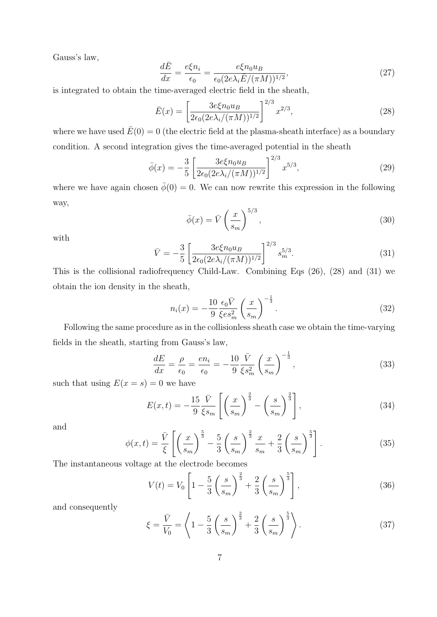Gauss's law,

$$
\frac{d\bar{E}}{dx} = \frac{e\xi n_i}{\epsilon_0} = \frac{e\xi n_0 u_B}{\epsilon_0 (2e\lambda_i \bar{E}/(\pi M))^{1/2}},\tag{27}
$$

is integrated to obtain the time-averaged electric field in the sheath,

$$
\bar{E}(x) = \left[\frac{3e\xi n_0 u_B}{2\epsilon_0(2e\lambda_i/(\pi M))^{1/2}}\right]^{2/3} x^{2/3},\tag{28}
$$

where we have used  $\bar{E}(0) = 0$  (the electric field at the plasma-sheath interface) as a boundary condition. A second integration gives the time-averaged potential in the sheath

$$
\bar{\phi}(x) = -\frac{3}{5} \left[ \frac{3e\xi n_0 u_B}{2\epsilon_0 (2e\lambda_i/(\pi M))^{1/2}} \right]^{2/3} x^{5/3},\tag{29}
$$

where we have again chosen  $\phi(0) = 0$ . We can now rewrite this expression in the following way,

$$
\bar{\phi}(x) = \bar{V} \left(\frac{x}{s_m}\right)^{5/3},\tag{30}
$$

with

$$
\bar{V} = -\frac{3}{5} \left[ \frac{3e\xi n_0 u_B}{2\epsilon_0 (2e\lambda_i/(\pi M))^{1/2}} \right]^{2/3} s_m^{5/3}.
$$
\n(31)

This is the collisional radiofrequency Child-Law. Combining Eqs (26), (28) and (31) we obtain the ion density in the sheath,

$$
n_i(x) = -\frac{10}{9} \frac{\epsilon_0 \bar{V}}{\xi e s_m^2} \left(\frac{x}{s_m}\right)^{-\frac{1}{3}}.
$$
 (32)

Following the same procedure as in the collisionless sheath case we obtain the time-varying fields in the sheath, starting from Gauss's law,

$$
\frac{dE}{dx} = \frac{\rho}{\epsilon_0} = \frac{en_i}{\epsilon_0} = -\frac{10}{9} \frac{\bar{V}}{\xi s_m^2} \left(\frac{x}{s_m}\right)^{-\frac{1}{3}},\tag{33}
$$

such that using  $E(x = s) = 0$  we have

$$
E(x,t) = -\frac{15}{9} \frac{\bar{V}}{\xi s_m} \left[ \left( \frac{x}{s_m} \right)^{\frac{2}{3}} - \left( \frac{s}{s_m} \right)^{\frac{2}{3}} \right],\tag{34}
$$

and

$$
\phi(x,t) = \frac{\bar{V}}{\xi} \left[ \left( \frac{x}{s_m} \right)^{\frac{5}{3}} - \frac{5}{3} \left( \frac{s}{s_m} \right)^{\frac{2}{3}} \frac{x}{s_m} + \frac{2}{3} \left( \frac{s}{s_m} \right)^{\frac{5}{3}} \right].
$$
\n(35)

The instantaneous voltage at the electrode becomes

$$
V(t) = V_0 \left[ 1 - \frac{5}{3} \left( \frac{s}{s_m} \right)^{\frac{2}{3}} + \frac{2}{3} \left( \frac{s}{s_m} \right)^{\frac{5}{3}} \right],
$$
 (36)

and consequently

$$
\xi = \frac{\bar{V}}{V_0} = \left\langle 1 - \frac{5}{3} \left( \frac{s}{s_m} \right)^{\frac{2}{3}} + \frac{2}{3} \left( \frac{s}{s_m} \right)^{\frac{5}{3}} \right\rangle. \tag{37}
$$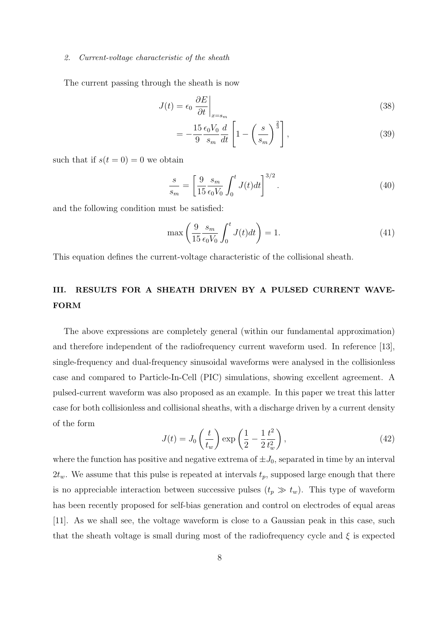#### *2. Current-voltage characteristic of the sheath*

The current passing through the sheath is now

$$
J(t) = \epsilon_0 \left. \frac{\partial E}{\partial t} \right|_{x = s_m} \tag{38}
$$

$$
=-\frac{15}{9}\frac{\epsilon_0 V_0}{s_m}\frac{d}{dt}\left[1-\left(\frac{s}{s_m}\right)^{\frac{2}{3}}\right],\tag{39}
$$

such that if  $s(t=0) = 0$  we obtain

$$
\frac{s}{s_m} = \left[\frac{9}{15} \frac{s_m}{\epsilon_0 V_0} \int_0^t J(t) dt\right]^{3/2}.
$$
\n(40)

and the following condition must be satisfied:

$$
\max\left(\frac{9}{15}\frac{s_m}{\epsilon_0 V_0} \int_0^t J(t)dt\right) = 1.
$$
\n(41)

This equation defines the current-voltage characteristic of the collisional sheath.

# **III. RESULTS FOR A SHEATH DRIVEN BY A PULSED CURRENT WAVE-FORM**

The above expressions are completely general (within our fundamental approximation) and therefore independent of the radiofrequency current waveform used. In reference [13], single-frequency and dual-frequency sinusoidal waveforms were analysed in the collisionless case and compared to Particle-In-Cell (PIC) simulations, showing excellent agreement. A pulsed-current waveform was also proposed as an example. In this paper we treat this latter case for both collisionless and collisional sheaths, with a discharge driven by a current density of the form

$$
J(t) = J_0 \left(\frac{t}{t_w}\right) \exp\left(\frac{1}{2} - \frac{1}{2}\frac{t^2}{t_w^2}\right),\tag{42}
$$

where the function has positive and negative extrema of  $\pm J_0$ , separated in time by an interval  $2t_w$ . We assume that this pulse is repeated at intervals  $t_p$ , supposed large enough that there is no appreciable interaction between successive pulses  $(t_p \gg t_w)$ . This type of waveform has been recently proposed for self-bias generation and control on electrodes of equal areas [11]. As we shall see, the voltage waveform is close to a Gaussian peak in this case, such that the sheath voltage is small during most of the radiofrequency cycle and *ξ* is expected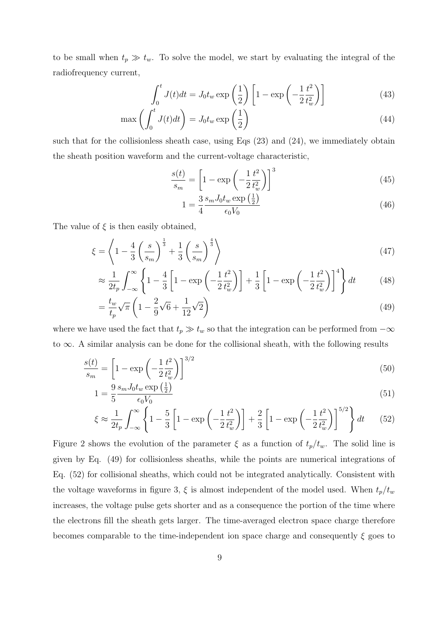to be small when  $t_p \gg t_w$ . To solve the model, we start by evaluating the integral of the radiofrequency current,

$$
\int_0^t J(t)dt = J_0 t_w \exp\left(\frac{1}{2}\right) \left[1 - \exp\left(-\frac{1}{2}\frac{t^2}{t_w^2}\right)\right]
$$
(43)

$$
\max\left(\int_0^t J(t)dt\right) = J_0 t_w \exp\left(\frac{1}{2}\right) \tag{44}
$$

such that for the collisionless sheath case, using Eqs (23) and (24), we immediately obtain the sheath position waveform and the current-voltage characteristic,

$$
\frac{s(t)}{s_m} = \left[1 - \exp\left(-\frac{1}{2}\frac{t^2}{t_w^2}\right)\right]^3\tag{45}
$$

$$
1 = \frac{3}{4} \frac{s_m J_0 t_w \exp\left(\frac{1}{2}\right)}{\epsilon_0 V_0} \tag{46}
$$

The value of  $\xi$  is then easily obtained,

$$
\xi = \left\langle 1 - \frac{4}{3} \left( \frac{s}{s_m} \right)^{\frac{1}{3}} + \frac{1}{3} \left( \frac{s}{s_m} \right)^{\frac{4}{3}} \right\rangle \tag{47}
$$

$$
\approx \frac{1}{2t_p} \int_{-\infty}^{\infty} \left\{ 1 - \frac{4}{3} \left[ 1 - \exp\left( -\frac{1}{2} \frac{t^2}{t_w^2} \right) \right] + \frac{1}{3} \left[ 1 - \exp\left( -\frac{1}{2} \frac{t^2}{t_w^2} \right) \right]^4 \right\} dt \tag{48}
$$

$$
=\frac{t_w}{t_p}\sqrt{\pi}\left(1-\frac{2}{9}\sqrt{6}+\frac{1}{12}\sqrt{2}\right)
$$
\n(49)

where we have used the fact that  $t_p \gg t_w$  so that the integration can be performed from  $-\infty$ to *∞*. A similar analysis can be done for the collisional sheath, with the following results

$$
\frac{s(t)}{s_m} = \left[1 - \exp\left(-\frac{1}{2}\frac{t^2}{t_w^2}\right)\right]^{3/2} \tag{50}
$$

$$
1 = \frac{9}{5} \frac{s_m J_0 t_w \exp\left(\frac{1}{2}\right)}{\epsilon_0 V_0} \tag{51}
$$

$$
\xi \approx \frac{1}{2t_p} \int_{-\infty}^{\infty} \left\{ 1 - \frac{5}{3} \left[ 1 - \exp\left( -\frac{1}{2} \frac{t^2}{t_w^2} \right) \right] + \frac{2}{3} \left[ 1 - \exp\left( -\frac{1}{2} \frac{t^2}{t_w^2} \right) \right]^{5/2} \right\} dt \tag{52}
$$

Figure 2 shows the evolution of the parameter  $\xi$  as a function of  $t_p/t_w$ . The solid line is given by Eq. (49) for collisionless sheaths, while the points are numerical integrations of Eq. (52) for collisional sheaths, which could not be integrated analytically. Consistent with the voltage waveforms in figure 3,  $\xi$  is almost independent of the model used. When  $t_p/t_w$ increases, the voltage pulse gets shorter and as a consequence the portion of the time where the electrons fill the sheath gets larger. The time-averaged electron space charge therefore becomes comparable to the time-independent ion space charge and consequently  $\xi$  goes to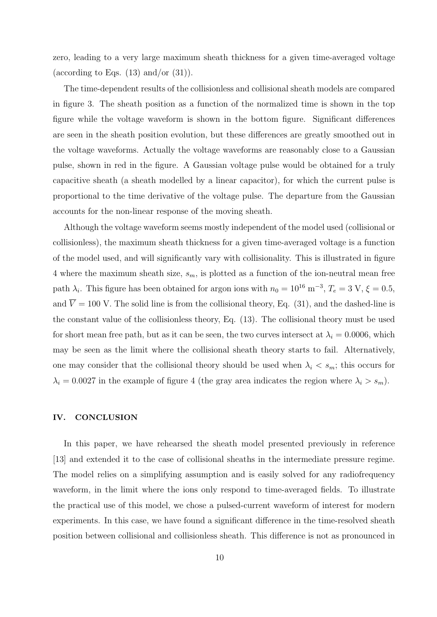zero, leading to a very large maximum sheath thickness for a given time-averaged voltage (according to Eqs.  $(13)$  and/or  $(31)$ ).

The time-dependent results of the collisionless and collisional sheath models are compared in figure 3. The sheath position as a function of the normalized time is shown in the top figure while the voltage waveform is shown in the bottom figure. Significant differences are seen in the sheath position evolution, but these differences are greatly smoothed out in the voltage waveforms. Actually the voltage waveforms are reasonably close to a Gaussian pulse, shown in red in the figure. A Gaussian voltage pulse would be obtained for a truly capacitive sheath (a sheath modelled by a linear capacitor), for which the current pulse is proportional to the time derivative of the voltage pulse. The departure from the Gaussian accounts for the non-linear response of the moving sheath.

Although the voltage waveform seems mostly independent of the model used (collisional or collisionless), the maximum sheath thickness for a given time-averaged voltage is a function of the model used, and will significantly vary with collisionality. This is illustrated in figure 4 where the maximum sheath size, *sm*, is plotted as a function of the ion-neutral mean free path  $\lambda_i$ . This figure has been obtained for argon ions with  $n_0 = 10^{16}$  m<sup>-3</sup>,  $T_e = 3$  V,  $\xi = 0.5$ , and  $\overline{V} = 100$  V. The solid line is from the collisional theory, Eq. (31), and the dashed-line is the constant value of the collisionless theory, Eq. (13). The collisional theory must be used for short mean free path, but as it can be seen, the two curves intersect at  $\lambda_i = 0.0006$ , which may be seen as the limit where the collisional sheath theory starts to fail. Alternatively, one may consider that the collisional theory should be used when  $\lambda_i \leq s_m$ ; this occurs for  $\lambda_i = 0.0027$  in the example of figure 4 (the gray area indicates the region where  $\lambda_i > s_m$ ).

### **IV. CONCLUSION**

In this paper, we have rehearsed the sheath model presented previously in reference [13] and extended it to the case of collisional sheaths in the intermediate pressure regime. The model relies on a simplifying assumption and is easily solved for any radiofrequency waveform, in the limit where the ions only respond to time-averaged fields. To illustrate the practical use of this model, we chose a pulsed-current waveform of interest for modern experiments. In this case, we have found a significant difference in the time-resolved sheath position between collisional and collisionless sheath. This difference is not as pronounced in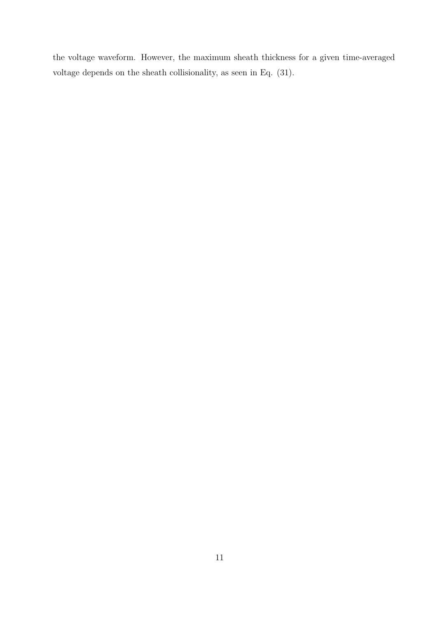the voltage waveform. However, the maximum sheath thickness for a given time-averaged voltage depends on the sheath collisionality, as seen in Eq. (31).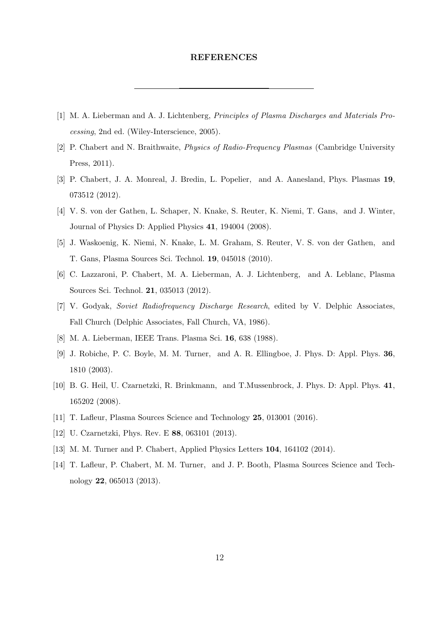### **REFERENCES**

- [1] M. A. Lieberman and A. J. Lichtenberg, *Principles of Plasma Discharges and Materials Processing*, 2nd ed. (Wiley-Interscience, 2005).
- [2] P. Chabert and N. Braithwaite, *Physics of Radio-Frequency Plasmas* (Cambridge University Press, 2011).
- [3] P. Chabert, J. A. Monreal, J. Bredin, L. Popelier, and A. Aanesland, Phys. Plasmas **19**, 073512 (2012).
- [4] V. S. von der Gathen, L. Schaper, N. Knake, S. Reuter, K. Niemi, T. Gans, and J. Winter, Journal of Physics D: Applied Physics **41**, 194004 (2008).
- [5] J. Waskoenig, K. Niemi, N. Knake, L. M. Graham, S. Reuter, V. S. von der Gathen, and T. Gans, Plasma Sources Sci. Technol. **19**, 045018 (2010).
- [6] C. Lazzaroni, P. Chabert, M. A. Lieberman, A. J. Lichtenberg, and A. Leblanc, Plasma Sources Sci. Technol. **21**, 035013 (2012).
- [7] V. Godyak, *Soviet Radiofrequency Discharge Research*, edited by V. Delphic Associates, Fall Church (Delphic Associates, Fall Church, VA, 1986).
- [8] M. A. Lieberman, IEEE Trans. Plasma Sci. **16**, 638 (1988).
- [9] J. Robiche, P. C. Boyle, M. M. Turner, and A. R. Ellingboe, J. Phys. D: Appl. Phys. **36**, 1810 (2003).
- [10] B. G. Heil, U. Czarnetzki, R. Brinkmann, and T.Mussenbrock, J. Phys. D: Appl. Phys. **41**, 165202 (2008).
- [11] T. Lafleur, Plasma Sources Science and Technology **25**, 013001 (2016).
- [12] U. Czarnetzki, Phys. Rev. E **88**, 063101 (2013).
- [13] M. M. Turner and P. Chabert, Applied Physics Letters **104**, 164102 (2014).
- [14] T. Lafleur, P. Chabert, M. M. Turner, and J. P. Booth, Plasma Sources Science and Technology **22**, 065013 (2013).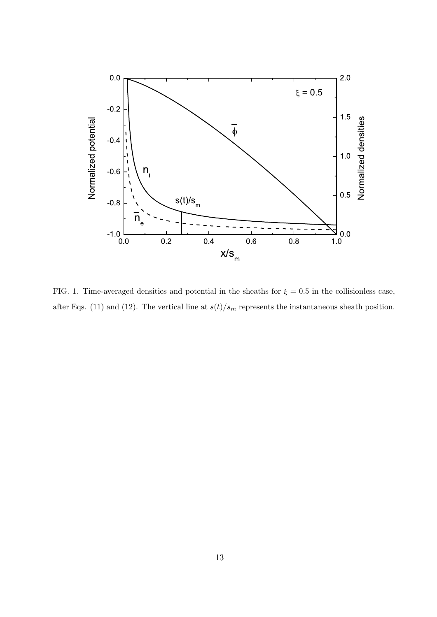

FIG. 1. Time-averaged densities and potential in the sheaths for  $\xi = 0.5$  in the collisionless case, after Eqs. (11) and (12). The vertical line at  $s(t)/s_m$  represents the instantaneous sheath position.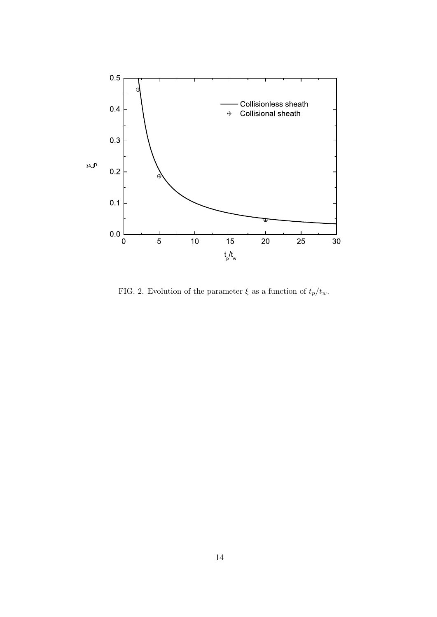

FIG. 2. Evolution of the parameter  $\xi$  as a function of  $t_p/t_w$ .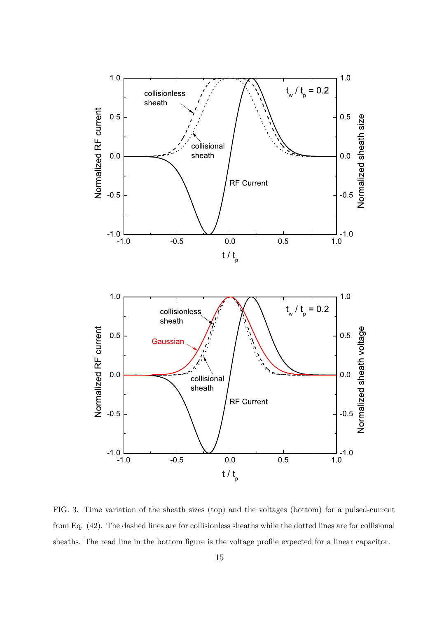

FIG. 3. Time variation of the sheath sizes (top) and the voltages (bottom) for a pulsed-current from Eq. (42). The dashed lines are for collisionless sheaths while the dotted lines are for collisional sheaths. The read line in the bottom figure is the voltage profile expected for a linear capacitor.